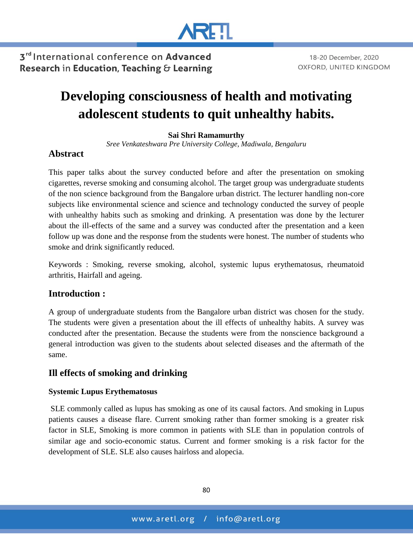

18-20 December, 2020

OXFORD, UNITED KINGDOM

3rd International conference on Advanced Research in Education, Teaching & Learning

# **Developing consciousness of health and motivating adolescent students to quit unhealthy habits.**

#### **Sai Shri Ramamurthy**

*Sree Venkateshwara Pre University College, Madiwala, Bengaluru*

#### **Abstract**

This paper talks about the survey conducted before and after the presentation on smoking cigarettes, reverse smoking and consuming alcohol. The target group was undergraduate students of the non science background from the Bangalore urban district. The lecturer handling non-core subjects like environmental science and science and technology conducted the survey of people with unhealthy habits such as smoking and drinking. A presentation was done by the lecturer about the ill-effects of the same and a survey was conducted after the presentation and a keen follow up was done and the response from the students were honest. The number of students who smoke and drink significantly reduced.

Keywords : Smoking, reverse smoking, alcohol, systemic lupus erythematosus, rheumatoid arthritis, Hairfall and ageing.

#### **Introduction :**

A group of undergraduate students from the Bangalore urban district was chosen for the study. The students were given a presentation about the ill effects of unhealthy habits. A survey was conducted after the presentation. Because the students were from the nonscience background a general introduction was given to the students about selected diseases and the aftermath of the same.

#### **Ill effects of smoking and drinking**

#### **Systemic Lupus Erythematosus**

SLE commonly called as lupus has smoking as one of its causal factors. And smoking in Lupus patients causes a disease flare. Current smoking rather than former smoking is a greater risk factor in SLE, Smoking is more common in patients with SLE than in population controls of similar age and socio-economic status. Current and former smoking is a risk factor for the development of SLE. SLE also causes hairloss and alopecia.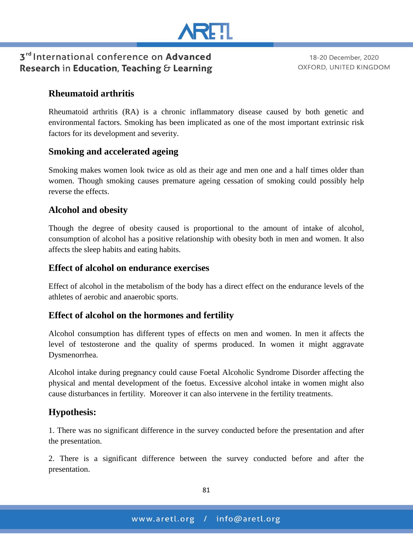

18-20 December, 2020 OXFORD, UNITED KINGDOM

## **Rheumatoid arthritis**

Rheumatoid arthritis (RA) is a chronic inflammatory disease caused by both genetic and environmental factors. Smoking has been implicated as one of the most important extrinsic risk factors for its development and severity.

## **Smoking and accelerated ageing**

Smoking makes women look twice as old as their age and men one and a half times older than women. Though smoking causes premature ageing cessation of smoking could possibly help reverse the effects.

#### **Alcohol and obesity**

Though the degree of obesity caused is proportional to the amount of intake of alcohol, consumption of alcohol has a positive relationship with obesity both in men and women. It also affects the sleep habits and eating habits.

#### **Effect of alcohol on endurance exercises**

Effect of alcohol in the metabolism of the body has a direct effect on the endurance levels of the athletes of aerobic and anaerobic sports.

#### **Effect of alcohol on the hormones and fertility**

Alcohol consumption has different types of effects on men and women. In men it affects the level of testosterone and the quality of sperms produced. In women it might aggravate Dysmenorrhea.

Alcohol intake during pregnancy could cause Foetal Alcoholic Syndrome Disorder affecting the physical and mental development of the foetus. Excessive alcohol intake in women might also cause disturbances in fertility. Moreover it can also intervene in the fertility treatments.

#### **Hypothesis:**

1. There was no significant difference in the survey conducted before the presentation and after the presentation.

2. There is a significant difference between the survey conducted before and after the presentation.

81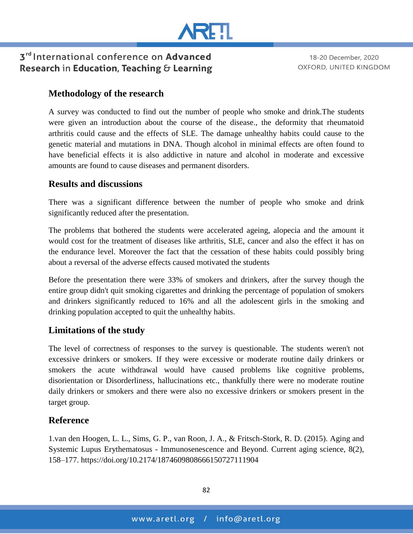

18-20 December, 2020 OXFORD, UNITED KINGDOM

#### **Methodology of the research**

A survey was conducted to find out the number of people who smoke and drink.The students were given an introduction about the course of the disease., the deformity that rheumatoid arthritis could cause and the effects of SLE. The damage unhealthy habits could cause to the genetic material and mutations in DNA. Though alcohol in minimal effects are often found to have beneficial effects it is also addictive in nature and alcohol in moderate and excessive amounts are found to cause diseases and permanent disorders.

#### **Results and discussions**

There was a significant difference between the number of people who smoke and drink significantly reduced after the presentation.

The problems that bothered the students were accelerated ageing, alopecia and the amount it would cost for the treatment of diseases like arthritis, SLE, cancer and also the effect it has on the endurance level. Moreover the fact that the cessation of these habits could possibly bring about a reversal of the adverse effects caused motivated the students

Before the presentation there were 33% of smokers and drinkers, after the survey though the entire group didn't quit smoking cigarettes and drinking the percentage of population of smokers and drinkers significantly reduced to 16% and all the adolescent girls in the smoking and drinking population accepted to quit the unhealthy habits.

#### **Limitations of the study**

The level of correctness of responses to the survey is questionable. The students weren't not excessive drinkers or smokers. If they were excessive or moderate routine daily drinkers or smokers the acute withdrawal would have caused problems like cognitive problems, disorientation or Disorderliness, hallucinations etc., thankfully there were no moderate routine daily drinkers or smokers and there were also no excessive drinkers or smokers present in the target group.

## **Reference**

1.van den Hoogen, L. L., Sims, G. P., van Roon, J. A., & Fritsch-Stork, R. D. (2015). Aging and Systemic Lupus Erythematosus - Immunosenescence and Beyond. Current aging science, 8(2), 158–177. https://doi.org/10.2174/1874609808666150727111904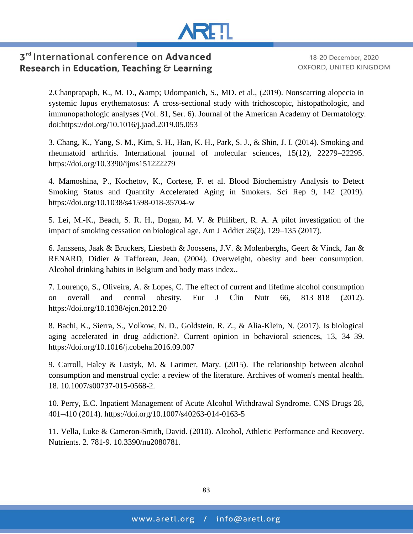

18-20 December, 2020 OXFORD, UNITED KINGDOM

2. Chanprapaph, K., M. D., & amp; Udompanich, S., MD. et al., (2019). Nonscarring alopecia in systemic lupus erythematosus: A cross-sectional study with trichoscopic, histopathologic, and immunopathologic analyses (Vol. 81, Ser. 6). Journal of the American Academy of Dermatology. doi:https://doi.org/10.1016/j.jaad.2019.05.053

3. Chang, K., Yang, S. M., Kim, S. H., Han, K. H., Park, S. J., & Shin, J. I. (2014). Smoking and rheumatoid arthritis. International journal of molecular sciences, 15(12), 22279–22295. https://doi.org/10.3390/ijms151222279

4. Mamoshina, P., Kochetov, K., Cortese, F. et al. Blood Biochemistry Analysis to Detect Smoking Status and Quantify Accelerated Aging in Smokers. Sci Rep 9, 142 (2019). https://doi.org/10.1038/s41598-018-35704-w

5. Lei, M.-K., Beach, S. R. H., Dogan, M. V. & Philibert, R. A. A pilot investigation of the impact of smoking cessation on biological age. Am J Addict 26(2), 129–135 (2017).

6. Janssens, Jaak & Bruckers, Liesbeth & Joossens, J.V. & Molenberghs, Geert & Vinck, Jan & RENARD, Didier & Tafforeau, Jean. (2004). Overweight, obesity and beer consumption. Alcohol drinking habits in Belgium and body mass index..

7. Lourenço, S., Oliveira, A. & Lopes, C. The effect of current and lifetime alcohol consumption on overall and central obesity. Eur J Clin Nutr 66, 813–818 (2012). https://doi.org/10.1038/ejcn.2012.20

8. Bachi, K., Sierra, S., Volkow, N. D., Goldstein, R. Z., & Alia-Klein, N. (2017). Is biological aging accelerated in drug addiction?. Current opinion in behavioral sciences, 13, 34–39. https://doi.org/10.1016/j.cobeha.2016.09.007

9. Carroll, Haley & Lustyk, M. & Larimer, Mary. (2015). The relationship between alcohol consumption and menstrual cycle: a review of the literature. Archives of women's mental health. 18. 10.1007/s00737-015-0568-2.

10. Perry, E.C. Inpatient Management of Acute Alcohol Withdrawal Syndrome. CNS Drugs 28, 401–410 (2014). https://doi.org/10.1007/s40263-014-0163-5

11. Vella, Luke & Cameron-Smith, David. (2010). Alcohol, Athletic Performance and Recovery. Nutrients. 2. 781-9. 10.3390/nu2080781.